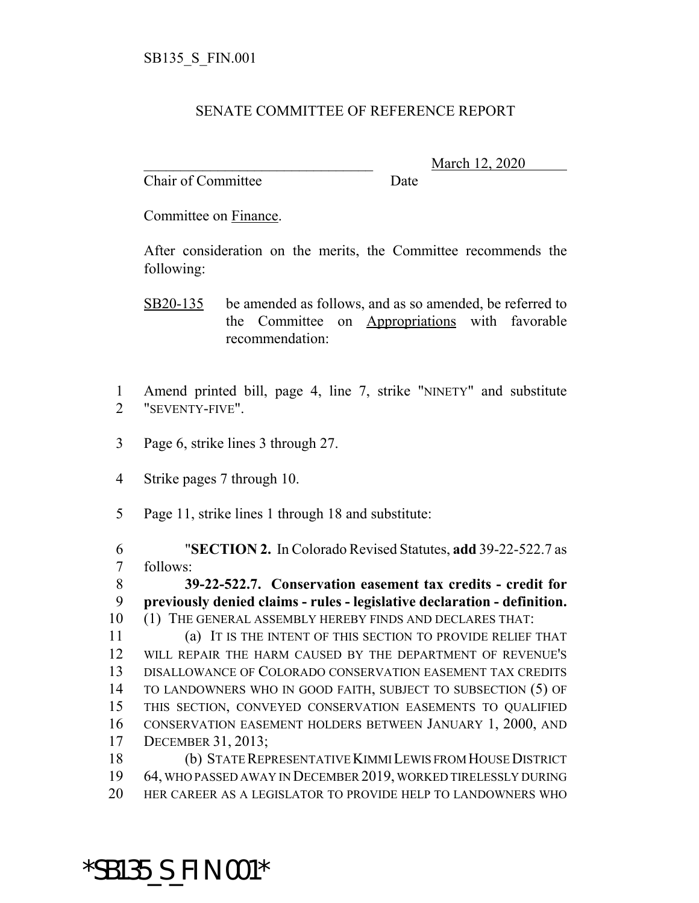#### SENATE COMMITTEE OF REFERENCE REPORT

Chair of Committee Date

\_\_\_\_\_\_\_\_\_\_\_\_\_\_\_\_\_\_\_\_\_\_\_\_\_\_\_\_\_\_\_ March 12, 2020

Committee on Finance.

After consideration on the merits, the Committee recommends the following:

SB20-135 be amended as follows, and as so amended, be referred to the Committee on Appropriations with favorable recommendation:

- Amend printed bill, page 4, line 7, strike "NINETY" and substitute "SEVENTY-FIVE".
- Page 6, strike lines 3 through 27.
- Strike pages 7 through 10.
- Page 11, strike lines 1 through 18 and substitute:

 "**SECTION 2.** In Colorado Revised Statutes, **add** 39-22-522.7 as follows:

 **39-22-522.7. Conservation easement tax credits - credit for previously denied claims - rules - legislative declaration - definition.** (1) THE GENERAL ASSEMBLY HEREBY FINDS AND DECLARES THAT:

 (a) IT IS THE INTENT OF THIS SECTION TO PROVIDE RELIEF THAT WILL REPAIR THE HARM CAUSED BY THE DEPARTMENT OF REVENUE'S DISALLOWANCE OF COLORADO CONSERVATION EASEMENT TAX CREDITS TO LANDOWNERS WHO IN GOOD FAITH, SUBJECT TO SUBSECTION (5) OF THIS SECTION, CONVEYED CONSERVATION EASEMENTS TO QUALIFIED CONSERVATION EASEMENT HOLDERS BETWEEN JANUARY 1, 2000, AND DECEMBER 31, 2013;

 (b) STATE REPRESENTATIVE KIMMI LEWIS FROM HOUSE DISTRICT 64, WHO PASSED AWAY IN DECEMBER 2019, WORKED TIRELESSLY DURING HER CAREER AS A LEGISLATOR TO PROVIDE HELP TO LANDOWNERS WHO

# \*SB135\_S\_FIN.001\*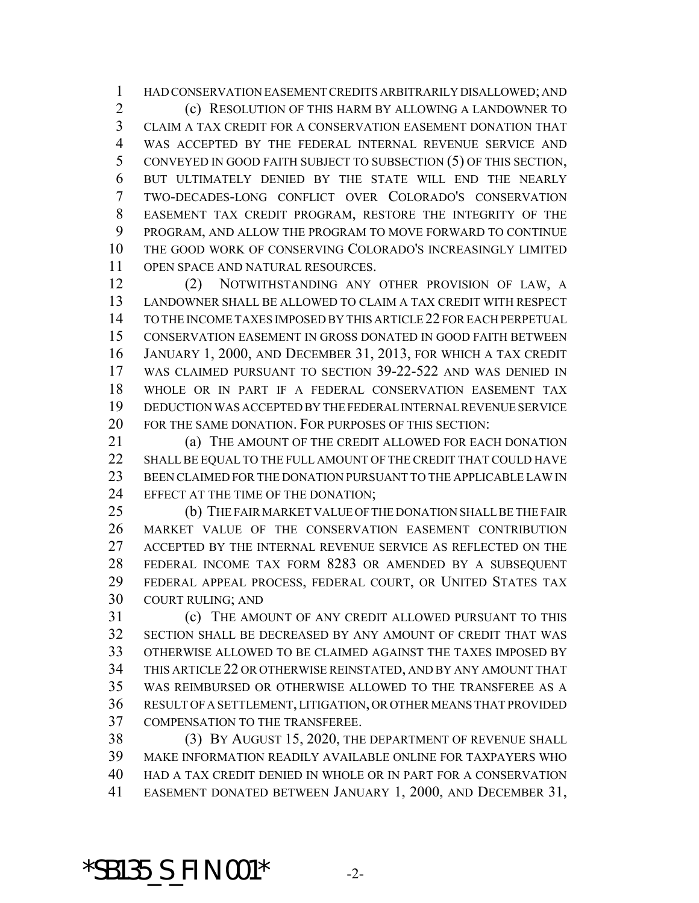HAD CONSERVATION EASEMENT CREDITS ARBITRARILY DISALLOWED; AND (c) RESOLUTION OF THIS HARM BY ALLOWING A LANDOWNER TO CLAIM A TAX CREDIT FOR A CONSERVATION EASEMENT DONATION THAT WAS ACCEPTED BY THE FEDERAL INTERNAL REVENUE SERVICE AND CONVEYED IN GOOD FAITH SUBJECT TO SUBSECTION (5) OF THIS SECTION, BUT ULTIMATELY DENIED BY THE STATE WILL END THE NEARLY TWO-DECADES-LONG CONFLICT OVER COLORADO'S CONSERVATION EASEMENT TAX CREDIT PROGRAM, RESTORE THE INTEGRITY OF THE PROGRAM, AND ALLOW THE PROGRAM TO MOVE FORWARD TO CONTINUE THE GOOD WORK OF CONSERVING COLORADO'S INCREASINGLY LIMITED OPEN SPACE AND NATURAL RESOURCES.

 (2) NOTWITHSTANDING ANY OTHER PROVISION OF LAW, A LANDOWNER SHALL BE ALLOWED TO CLAIM A TAX CREDIT WITH RESPECT TO THE INCOME TAXES IMPOSED BY THIS ARTICLE 22 FOR EACH PERPETUAL CONSERVATION EASEMENT IN GROSS DONATED IN GOOD FAITH BETWEEN JANUARY 1, 2000, AND DECEMBER 31, 2013, FOR WHICH A TAX CREDIT WAS CLAIMED PURSUANT TO SECTION 39-22-522 AND WAS DENIED IN WHOLE OR IN PART IF A FEDERAL CONSERVATION EASEMENT TAX DEDUCTION WAS ACCEPTED BY THE FEDERAL INTERNAL REVENUE SERVICE FOR THE SAME DONATION. FOR PURPOSES OF THIS SECTION:

 (a) THE AMOUNT OF THE CREDIT ALLOWED FOR EACH DONATION 22 SHALL BE EQUAL TO THE FULL AMOUNT OF THE CREDIT THAT COULD HAVE BEEN CLAIMED FOR THE DONATION PURSUANT TO THE APPLICABLE LAW IN EFFECT AT THE TIME OF THE DONATION;

 (b) THE FAIR MARKET VALUE OF THE DONATION SHALL BE THE FAIR MARKET VALUE OF THE CONSERVATION EASEMENT CONTRIBUTION ACCEPTED BY THE INTERNAL REVENUE SERVICE AS REFLECTED ON THE FEDERAL INCOME TAX FORM 8283 OR AMENDED BY A SUBSEQUENT FEDERAL APPEAL PROCESS, FEDERAL COURT, OR UNITED STATES TAX COURT RULING; AND

 (c) THE AMOUNT OF ANY CREDIT ALLOWED PURSUANT TO THIS SECTION SHALL BE DECREASED BY ANY AMOUNT OF CREDIT THAT WAS OTHERWISE ALLOWED TO BE CLAIMED AGAINST THE TAXES IMPOSED BY THIS ARTICLE 22 OR OTHERWISE REINSTATED, AND BY ANY AMOUNT THAT WAS REIMBURSED OR OTHERWISE ALLOWED TO THE TRANSFEREE AS A RESULT OF A SETTLEMENT, LITIGATION, OR OTHER MEANS THAT PROVIDED COMPENSATION TO THE TRANSFEREE.

 (3) BY AUGUST 15, 2020, THE DEPARTMENT OF REVENUE SHALL MAKE INFORMATION READILY AVAILABLE ONLINE FOR TAXPAYERS WHO HAD A TAX CREDIT DENIED IN WHOLE OR IN PART FOR A CONSERVATION EASEMENT DONATED BETWEEN JANUARY 1, 2000, AND DECEMBER 31,

### \*SB135\_S\_FIN.001\* -2-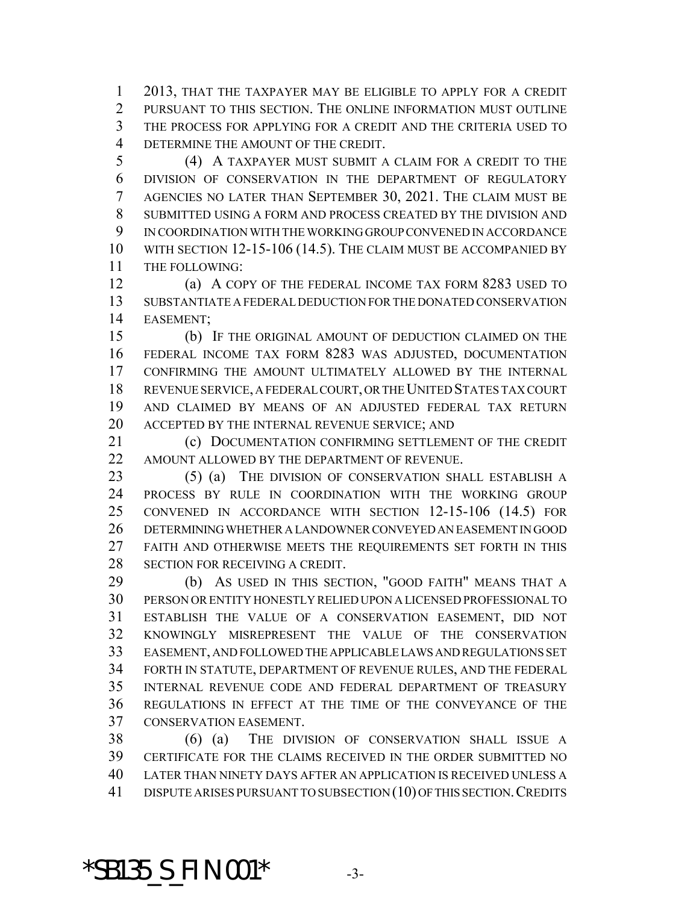2013, THAT THE TAXPAYER MAY BE ELIGIBLE TO APPLY FOR A CREDIT PURSUANT TO THIS SECTION. THE ONLINE INFORMATION MUST OUTLINE THE PROCESS FOR APPLYING FOR A CREDIT AND THE CRITERIA USED TO DETERMINE THE AMOUNT OF THE CREDIT.

 (4) A TAXPAYER MUST SUBMIT A CLAIM FOR A CREDIT TO THE DIVISION OF CONSERVATION IN THE DEPARTMENT OF REGULATORY AGENCIES NO LATER THAN SEPTEMBER 30, 2021. THE CLAIM MUST BE SUBMITTED USING A FORM AND PROCESS CREATED BY THE DIVISION AND IN COORDINATION WITH THE WORKING GROUP CONVENED IN ACCORDANCE WITH SECTION 12-15-106 (14.5). THE CLAIM MUST BE ACCOMPANIED BY THE FOLLOWING:

 (a) A COPY OF THE FEDERAL INCOME TAX FORM 8283 USED TO SUBSTANTIATE A FEDERAL DEDUCTION FOR THE DONATED CONSERVATION EASEMENT;

 (b) IF THE ORIGINAL AMOUNT OF DEDUCTION CLAIMED ON THE FEDERAL INCOME TAX FORM 8283 WAS ADJUSTED, DOCUMENTATION CONFIRMING THE AMOUNT ULTIMATELY ALLOWED BY THE INTERNAL REVENUE SERVICE, A FEDERAL COURT, OR THE UNITED STATES TAX COURT AND CLAIMED BY MEANS OF AN ADJUSTED FEDERAL TAX RETURN ACCEPTED BY THE INTERNAL REVENUE SERVICE; AND

**(c) DOCUMENTATION CONFIRMING SETTLEMENT OF THE CREDIT** 22 AMOUNT ALLOWED BY THE DEPARTMENT OF REVENUE.

23 (5) (a) THE DIVISION OF CONSERVATION SHALL ESTABLISH A PROCESS BY RULE IN COORDINATION WITH THE WORKING GROUP CONVENED IN ACCORDANCE WITH SECTION 12-15-106 (14.5) FOR DETERMINING WHETHER A LANDOWNER CONVEYED AN EASEMENT IN GOOD FAITH AND OTHERWISE MEETS THE REQUIREMENTS SET FORTH IN THIS SECTION FOR RECEIVING A CREDIT.

 (b) AS USED IN THIS SECTION, "GOOD FAITH" MEANS THAT A PERSON OR ENTITY HONESTLY RELIED UPON A LICENSED PROFESSIONAL TO ESTABLISH THE VALUE OF A CONSERVATION EASEMENT, DID NOT KNOWINGLY MISREPRESENT THE VALUE OF THE CONSERVATION EASEMENT, AND FOLLOWED THE APPLICABLE LAWS AND REGULATIONS SET FORTH IN STATUTE, DEPARTMENT OF REVENUE RULES, AND THE FEDERAL INTERNAL REVENUE CODE AND FEDERAL DEPARTMENT OF TREASURY REGULATIONS IN EFFECT AT THE TIME OF THE CONVEYANCE OF THE CONSERVATION EASEMENT.

 (6) (a) THE DIVISION OF CONSERVATION SHALL ISSUE A CERTIFICATE FOR THE CLAIMS RECEIVED IN THE ORDER SUBMITTED NO LATER THAN NINETY DAYS AFTER AN APPLICATION IS RECEIVED UNLESS A 41 DISPUTE ARISES PURSUANT TO SUBSECTION (10) OF THIS SECTION. CREDITS

### \*SB135\_S\_FIN.001\* -3-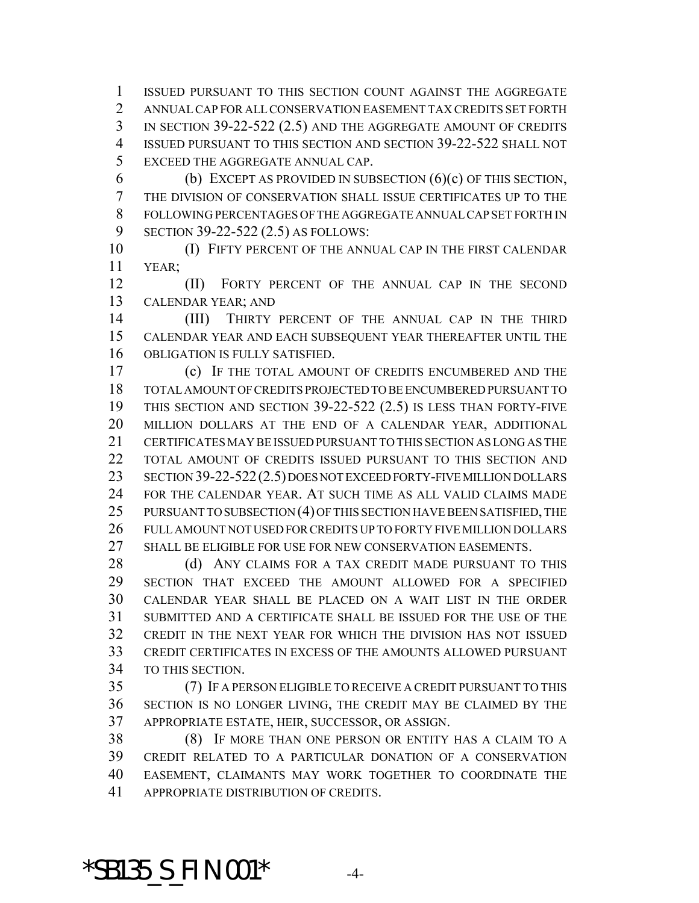ISSUED PURSUANT TO THIS SECTION COUNT AGAINST THE AGGREGATE ANNUAL CAP FOR ALL CONSERVATION EASEMENT TAX CREDITS SET FORTH IN SECTION 39-22-522 (2.5) AND THE AGGREGATE AMOUNT OF CREDITS ISSUED PURSUANT TO THIS SECTION AND SECTION 39-22-522 SHALL NOT EXCEED THE AGGREGATE ANNUAL CAP.

6 (b) EXCEPT AS PROVIDED IN SUBSECTION  $(6)(c)$  OF THIS SECTION, THE DIVISION OF CONSERVATION SHALL ISSUE CERTIFICATES UP TO THE FOLLOWING PERCENTAGES OF THE AGGREGATE ANNUAL CAP SET FORTH IN SECTION 39-22-522 (2.5) AS FOLLOWS:

 (I) FIFTY PERCENT OF THE ANNUAL CAP IN THE FIRST CALENDAR YEAR;

**(II)** FORTY PERCENT OF THE ANNUAL CAP IN THE SECOND CALENDAR YEAR; AND

14 (III) THIRTY PERCENT OF THE ANNUAL CAP IN THE THIRD CALENDAR YEAR AND EACH SUBSEQUENT YEAR THEREAFTER UNTIL THE OBLIGATION IS FULLY SATISFIED.

 (c) IF THE TOTAL AMOUNT OF CREDITS ENCUMBERED AND THE TOTAL AMOUNT OF CREDITS PROJECTED TO BE ENCUMBERED PURSUANT TO THIS SECTION AND SECTION 39-22-522 (2.5) IS LESS THAN FORTY-FIVE MILLION DOLLARS AT THE END OF A CALENDAR YEAR, ADDITIONAL CERTIFICATES MAY BE ISSUED PURSUANT TO THIS SECTION AS LONG AS THE TOTAL AMOUNT OF CREDITS ISSUED PURSUANT TO THIS SECTION AND SECTION 39-22-522(2.5) DOES NOT EXCEED FORTY-FIVE MILLION DOLLARS FOR THE CALENDAR YEAR. AT SUCH TIME AS ALL VALID CLAIMS MADE 25 PURSUANT TO SUBSECTION (4) OF THIS SECTION HAVE BEEN SATISFIED, THE FULL AMOUNT NOT USED FOR CREDITS UP TO FORTY FIVE MILLION DOLLARS SHALL BE ELIGIBLE FOR USE FOR NEW CONSERVATION EASEMENTS.

28 (d) ANY CLAIMS FOR A TAX CREDIT MADE PURSUANT TO THIS SECTION THAT EXCEED THE AMOUNT ALLOWED FOR A SPECIFIED CALENDAR YEAR SHALL BE PLACED ON A WAIT LIST IN THE ORDER SUBMITTED AND A CERTIFICATE SHALL BE ISSUED FOR THE USE OF THE CREDIT IN THE NEXT YEAR FOR WHICH THE DIVISION HAS NOT ISSUED CREDIT CERTIFICATES IN EXCESS OF THE AMOUNTS ALLOWED PURSUANT TO THIS SECTION.

 (7) IF A PERSON ELIGIBLE TO RECEIVE A CREDIT PURSUANT TO THIS SECTION IS NO LONGER LIVING, THE CREDIT MAY BE CLAIMED BY THE APPROPRIATE ESTATE, HEIR, SUCCESSOR, OR ASSIGN.

 (8) IF MORE THAN ONE PERSON OR ENTITY HAS A CLAIM TO A CREDIT RELATED TO A PARTICULAR DONATION OF A CONSERVATION EASEMENT, CLAIMANTS MAY WORK TOGETHER TO COORDINATE THE APPROPRIATE DISTRIBUTION OF CREDITS.

### **\*SB135\_S\_FIN.001\*** 4-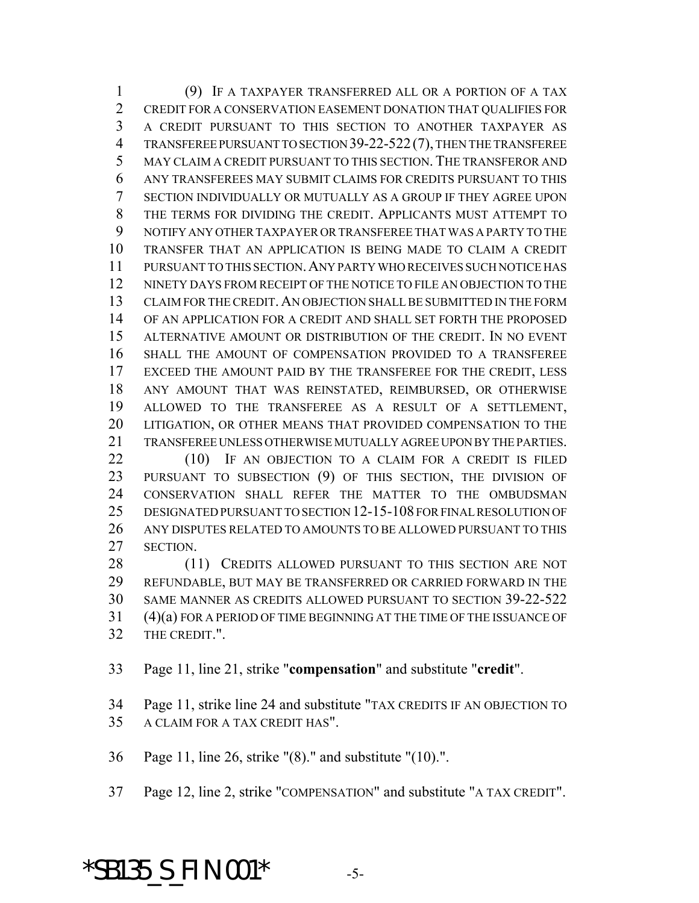(9) IF A TAXPAYER TRANSFERRED ALL OR A PORTION OF A TAX CREDIT FOR A CONSERVATION EASEMENT DONATION THAT QUALIFIES FOR A CREDIT PURSUANT TO THIS SECTION TO ANOTHER TAXPAYER AS TRANSFEREE PURSUANT TO SECTION 39-22-522(7), THEN THE TRANSFEREE MAY CLAIM A CREDIT PURSUANT TO THIS SECTION. THE TRANSFEROR AND ANY TRANSFEREES MAY SUBMIT CLAIMS FOR CREDITS PURSUANT TO THIS SECTION INDIVIDUALLY OR MUTUALLY AS A GROUP IF THEY AGREE UPON THE TERMS FOR DIVIDING THE CREDIT. APPLICANTS MUST ATTEMPT TO NOTIFY ANY OTHER TAXPAYER OR TRANSFEREE THAT WAS A PARTY TO THE TRANSFER THAT AN APPLICATION IS BEING MADE TO CLAIM A CREDIT PURSUANT TO THIS SECTION.ANY PARTY WHO RECEIVES SUCH NOTICE HAS NINETY DAYS FROM RECEIPT OF THE NOTICE TO FILE AN OBJECTION TO THE CLAIM FOR THE CREDIT.AN OBJECTION SHALL BE SUBMITTED IN THE FORM OF AN APPLICATION FOR A CREDIT AND SHALL SET FORTH THE PROPOSED ALTERNATIVE AMOUNT OR DISTRIBUTION OF THE CREDIT. IN NO EVENT SHALL THE AMOUNT OF COMPENSATION PROVIDED TO A TRANSFEREE EXCEED THE AMOUNT PAID BY THE TRANSFEREE FOR THE CREDIT, LESS ANY AMOUNT THAT WAS REINSTATED, REIMBURSED, OR OTHERWISE ALLOWED TO THE TRANSFEREE AS A RESULT OF A SETTLEMENT, LITIGATION, OR OTHER MEANS THAT PROVIDED COMPENSATION TO THE TRANSFEREE UNLESS OTHERWISE MUTUALLY AGREE UPON BY THE PARTIES. 22 (10) IF AN OBJECTION TO A CLAIM FOR A CREDIT IS FILED

 PURSUANT TO SUBSECTION (9) OF THIS SECTION, THE DIVISION OF CONSERVATION SHALL REFER THE MATTER TO THE OMBUDSMAN DESIGNATED PURSUANT TO SECTION 12-15-108 FOR FINAL RESOLUTION OF ANY DISPUTES RELATED TO AMOUNTS TO BE ALLOWED PURSUANT TO THIS SECTION.

28 (11) CREDITS ALLOWED PURSUANT TO THIS SECTION ARE NOT REFUNDABLE, BUT MAY BE TRANSFERRED OR CARRIED FORWARD IN THE SAME MANNER AS CREDITS ALLOWED PURSUANT TO SECTION 39-22-522 (4)(a) FOR A PERIOD OF TIME BEGINNING AT THE TIME OF THE ISSUANCE OF THE CREDIT.".

Page 11, line 21, strike "**compensation**" and substitute "**credit**".

Page 11, strike line 24 and substitute "TAX CREDITS IF AN OBJECTION TO

A CLAIM FOR A TAX CREDIT HAS".

Page 11, line 26, strike "(8)." and substitute "(10).".

Page 12, line 2, strike "COMPENSATION" and substitute "A TAX CREDIT".

## **\*SB135\_S\_FIN.001\*** -5-